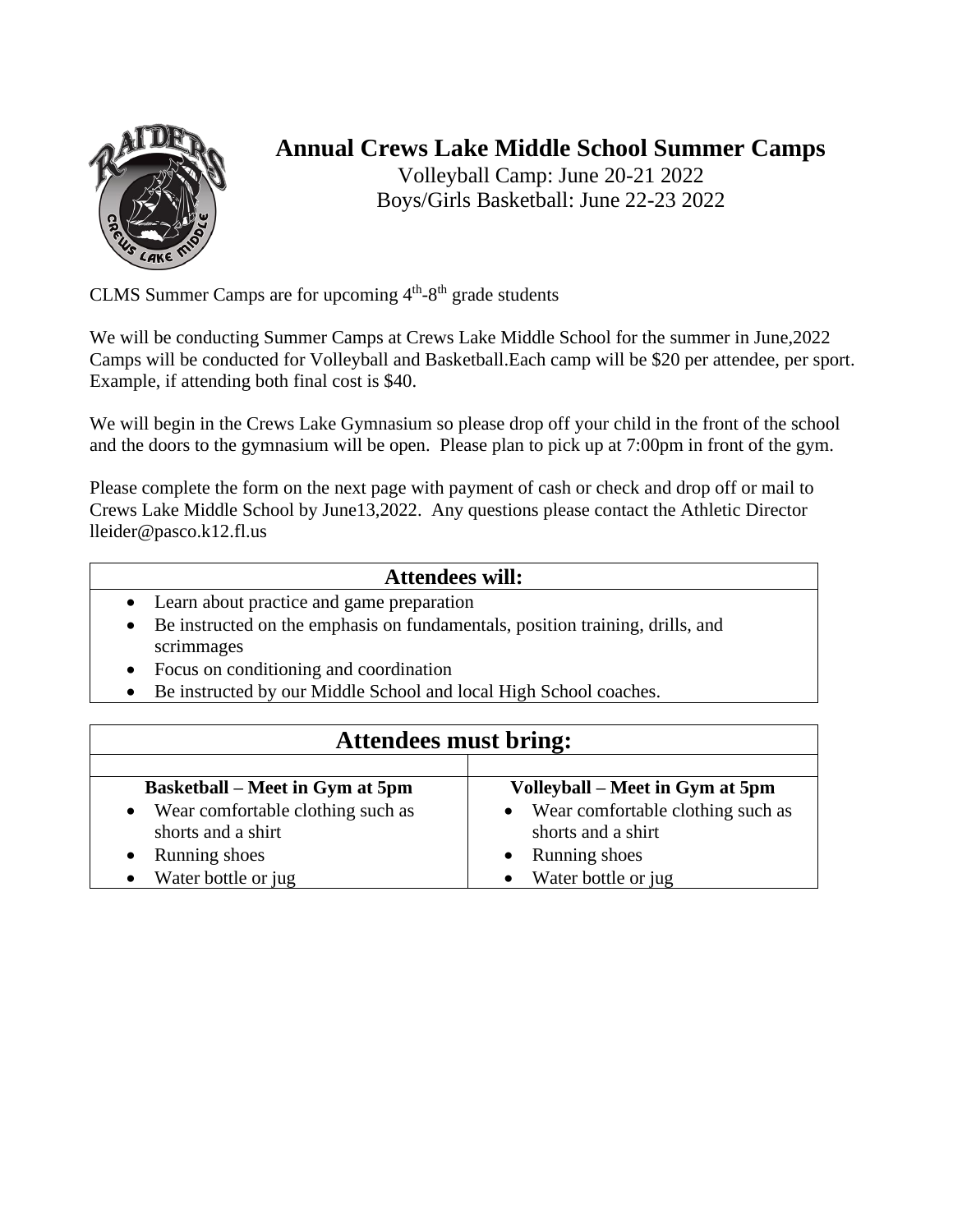

## **Annual Crews Lake Middle School Summer Camps**

Volleyball Camp: June 20-21 2022 Boys/Girls Basketball: June 22-23 2022

CLMS Summer Camps are for upcoming  $4<sup>th</sup>-8<sup>th</sup>$  grade students

We will be conducting Summer Camps at Crews Lake Middle School for the summer in June,2022 Camps will be conducted for Volleyball and Basketball.Each camp will be \$20 per attendee, per sport. Example, if attending both final cost is \$40.

We will begin in the Crews Lake Gymnasium so please drop off your child in the front of the school and the doors to the gymnasium will be open. Please plan to pick up at 7:00pm in front of the gym.

Please complete the form on the next page with payment of cash or check and drop off or mail to Crews Lake Middle School by June13,2022. Any questions please contact the Athletic Director lleider@pasco.k12.fl.us

## **Attendees will:**

- Learn about practice and game preparation
- Be instructed on the emphasis on fundamentals, position training, drills, and scrimmages
- Focus on conditioning and coordination
- Be instructed by our Middle School and local High School coaches.

|                                        | <b>Attendees must bring:</b>        |  |
|----------------------------------------|-------------------------------------|--|
|                                        |                                     |  |
| <b>Basketball</b> – Meet in Gym at 5pm | Volleyball – Meet in Gym at 5pm     |  |
| Wear comfortable clothing such as      | • Wear comfortable clothing such as |  |
| shorts and a shirt                     | shorts and a shirt                  |  |
| Running shoes                          | Running shoes                       |  |
| Water bottle or jug                    | Water bottle or jug                 |  |